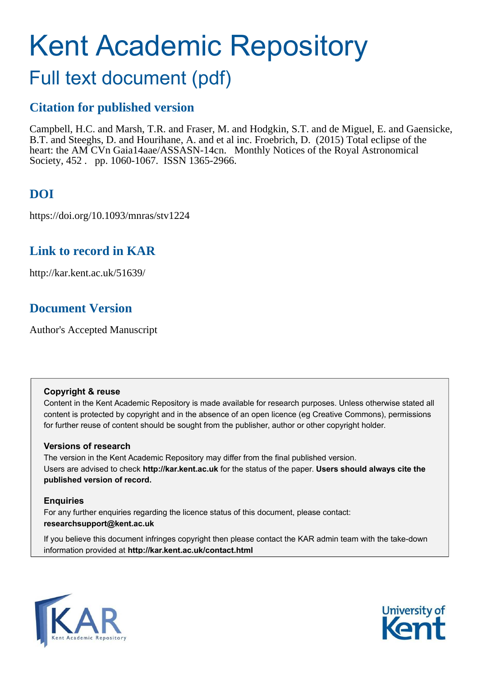# Kent Academic Repository

## Full text document (pdf)

## **Citation for published version**

Campbell, H.C. and Marsh, T.R. and Fraser, M. and Hodgkin, S.T. and de Miguel, E. and Gaensicke, B.T. and Steeghs, D. and Hourihane, A. and et al inc. Froebrich, D. (2015) Total eclipse of the heart: the AM CVn Gaia14aae/ASSASN-14cn. Monthly Notices of the Royal Astronomical Society, 452 . pp. 1060-1067. ISSN 1365-2966.

## **DOI**

https://doi.org/10.1093/mnras/stv1224

## **Link to record in KAR**

http://kar.kent.ac.uk/51639/

## **Document Version**

Author's Accepted Manuscript

## **Copyright & reuse**

Content in the Kent Academic Repository is made available for research purposes. Unless otherwise stated all content is protected by copyright and in the absence of an open licence (eg Creative Commons), permissions for further reuse of content should be sought from the publisher, author or other copyright holder.

## **Versions of research**

The version in the Kent Academic Repository may differ from the final published version. Users are advised to check **http://kar.kent.ac.uk** for the status of the paper. **Users should always cite the published version of record.**

## **Enquiries**

For any further enquiries regarding the licence status of this document, please contact: **researchsupport@kent.ac.uk**

If you believe this document infringes copyright then please contact the KAR admin team with the take-down information provided at **http://kar.kent.ac.uk/contact.html**



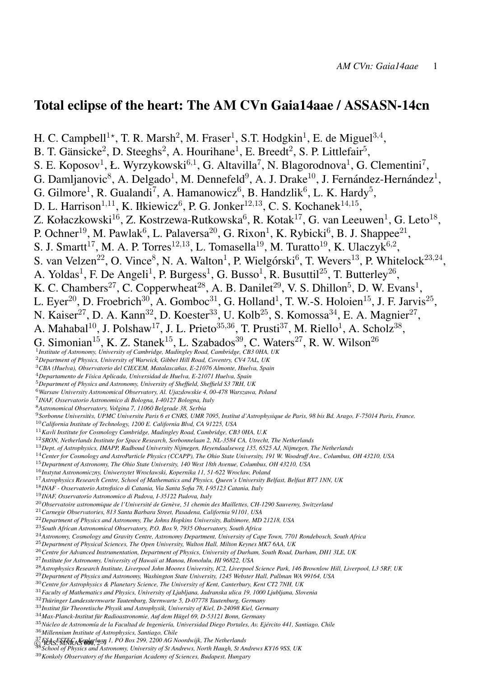## Total eclipse of the heart: The AM CVn Gaia14aae / ASSASN-14cn

H. C. Campbell<sup>1\*</sup>, T. R. Marsh<sup>2</sup>, M. Fraser<sup>1</sup>, S.T. Hodgkin<sup>1</sup>, E. de Miguel<sup>3,4</sup>, B. T. Gänsicke<sup>2</sup>, D. Steeghs<sup>2</sup>, A. Hourihane<sup>1</sup>, E. Breedt<sup>2</sup>, S. P. Littlefair<sup>5</sup>, S. E. Koposov<sup>1</sup>, Ł. Wyrzykowski<sup>6,1</sup>, G. Altavilla<sup>7</sup>, N. Blagorodnova<sup>1</sup>, G. Clementini<sup>7</sup>, G. Damljanovic<sup>8</sup>, A. Delgado<sup>1</sup>, M. Dennefeld<sup>9</sup>, A. J. Drake<sup>10</sup>, J. Fernández-Hernández<sup>1</sup>, G. Gilmore<sup>1</sup>, R. Gualandi<sup>7</sup>, A. Hamanowicz<sup>6</sup>, B. Handzlik<sup>6</sup>, L. K. Hardy<sup>5</sup>, D. L. Harrison<sup>1,11</sup>, K. Iłkiewicz<sup>6</sup>, P. G. Jonker<sup>12,13</sup>, C. S. Kochanek<sup>14,15</sup>, Z. Kołaczkowski<sup>16</sup>, Z. Kostrzewa-Rutkowska<sup>6</sup>, R. Kotak<sup>17</sup>, G. van Leeuwen<sup>1</sup>, G. Leto<sup>18</sup>, P. Ochner<sup>19</sup>, M. Pawlak<sup>6</sup>, L. Palaversa<sup>20</sup>, G. Rixon<sup>1</sup>, K. Rybicki<sup>6</sup>, B. J. Shappee<sup>21</sup>, S. J. Smartt<sup>17</sup>, M. A. P. Torres<sup>12,13</sup>, L. Tomasella<sup>19</sup>, M. Turatto<sup>19</sup>, K. Ulaczyk<sup>6,2</sup>, S. van Velzen<sup>22</sup>, O. Vince<sup>8</sup>, N. A. Walton<sup>1</sup>, P. Wielgórski<sup>6</sup>, T. Wevers<sup>13</sup>, P. Whitelock<sup>23,24</sup>, A. Yoldas<sup>1</sup>, F. De Angeli<sup>1</sup>, P. Burgess<sup>1</sup>, G. Busso<sup>1</sup>, R. Busuttil<sup>25</sup>, T. Butterley<sup>26</sup>, K. C. Chambers<sup>27</sup>, C. Copperwheat<sup>28</sup>, A. B. Danilet<sup>29</sup>, V. S. Dhillon<sup>5</sup>, D. W. Evans<sup>1</sup>, L. Eyer<sup>20</sup>, D. Froebrich<sup>30</sup>, A. Gomboc<sup>31</sup>, G. Holland<sup>1</sup>, T. W.-S. Holoien<sup>15</sup>, J. F. Jarvis<sup>25</sup>, N. Kaiser<sup>27</sup>, D. A. Kann<sup>32</sup>, D. Koester<sup>33</sup>, U. Kolb<sup>25</sup>, S. Komossa<sup>34</sup>, E. A. Magnier<sup>27</sup>, A. Mahabal<sup>10</sup>, J. Polshaw<sup>17</sup>, J. L. Prieto<sup>35,36</sup>, T. Prusti<sup>37</sup>, M. Riello<sup>1</sup>, A. Scholz<sup>38</sup>,  $G.$  Simonian<sup>15</sup>, K. Z. Stanek<sup>15</sup>, L. Szabados<sup>39</sup>, C. Waters<sup>27</sup>, R. W. Wilson<sup>26</sup><sup>1</sup>*Institute of Astronomy, University of Cambridge, Madingley Road, Cambridge, CB3 0HA, UK Department of Physics, University of Warwick, Gibbet Hill Road, Coventry, CV4 7AL, UK CBA (Huelva), Observatorio del CIECEM, Matalascanas, E-21076 Almonte, Huelva, Spain ˜ Departamento de F´ısica Aplicada, Universidad de Huelva, E-21071 Huelva, Spain Department of Physics and Astronomy, University of Sheffield, Sheffield S3 7RH, UK Warsaw University Astronomical Observatory, Al. Ujazdowskie 4, 00-478 Warszawa, Poland INAF, Osservatorio Astronomico di Bologna, I-40127 Bologna, Italy Astronomical Observatory, Volgina 7, 11060 Belgrade 38, Serbia Sorbonne Universites, UPMC Universite Paris 6 et CNRS, UMR 7095, Institut d'Astrophysique de Paris, 98 bis Bd. Arago, F-75014 Paris, France. ` California Institute of Technology, 1200 E. California Blvd, CA 91225, USA Kavli Institute for Cosmology Cambridge, Madingley Road, Cambridge, CB3 0HA, U.K SRON, Netherlands Institute for Space Research, Sorbonnelaan 2, NL-3584 CA, Utrecht, The Netherlands Dept. of Astrophysics, IMAPP, Radboud University Nijmegen, Heyendaalseweg 135, 6525 AJ, Nijmegen, The Netherlands Center for Cosmology and AstroParticle Physics (CCAPP), The Ohio State University, 191 W. Woodruff Ave., Columbus, OH 43210, USA Department of Astronomy, The Ohio State University, 140 West 18th Avenue, Columbus, OH 43210, USA Instytut Astronomiczny, Uniwersytet Wrocławski, Kopernika 11, 51-622 Wrocław, Poland Astrophysics Research Centre, School of Mathematics and Physics, Queen's University Belfast, Belfast BT7 1NN, UK INAF - Osservatorio Astrofisico di Catania, Via Santa Sofia 78, I-95123 Catania, Italy INAF, Osservatorio Astronomico di Padova, I-35122 Padova, Italy* <sup>20</sup>Observatoire astronomique de l'Université de Genève, 51 chemin des Maillettes, CH-1290 Sauverny, Switzerland *Carnegie Observatories, 813 Santa Barbara Street, Pasadena, California 91101, USA Department of Physics and Astronomy, The Johns Hopkins University, Baltimore, MD 21218, USA South African Astronomical Observatory, P.O. Box 9, 7935 Observatory, South Africa Astronomy, Cosmology and Gravity Centre, Astronomy Department, University of Cape Town, 7701 Rondebosch, South Africa Department of Physical Sciences, The Open University, Walton Hall, Milton Keynes MK7 6AA, UK Centre for Advanced Instrumentation, Department of Physics, University of Durham, South Road, Durham, DH1 3LE, UK Institute for Astronomy, University of Hawaii at Manoa, Honolulu, HI 96822, USA Astrophysics Research Institute, Liverpool John Moores University, IC2, Liverpool Science Park, 146 Brownlow Hill, Liverpool, L3 5RF, UK Department of Physics and Astronomy, Washington State University, 1245 Webster Hall, Pullman WA 99164, USA Centre for Astrophysics & Planetary Science, The University of Kent, Canterbury, Kent CT2 7NH, UK Faculty of Mathematics and Physics, University of Ljubljana, Jadranska ulica 19, 1000 Ljubljana, Slovenia Thuringer Landessternwarte Tautenburg, Sternwarte 5, D-07778 Tautenburg, Germany ¨*

- *Institut fur Theoretische Physik und Astrophysik, University of Kiel, D-24098 Kiel, Germany ¨*
- <sup>34</sup>Max-Planck-Institut für Radioastronomie, Auf dem Hügel 69, D-53121 Bonn, Germany
- *Nucleo de Astronom ´ ´ıa de la Facultad de Ingenier´ıa, Universidad Diego Portales, Av. Ejercito 441, Santiago, Chile ´*

*Millennium Institute of Astrophysics, Santiago, Chile*

& TRAS, MNRAS 000, 2013 *I, PO Box 299, 2200 AG Noordwijk, The Netherlands*<br><sup>38</sup> School of Physics and Astronomy, University of St Andrews, North Haugh, St Andrews KY16 9SS, UK

*Konkoly Observatory of the Hungarian Academy of Sciences, Budapest, Hungary*

*ESA, ESTEC, Keplerlaan 1, PO Box 299, 2200 AG Noordwijk, The Netherlands*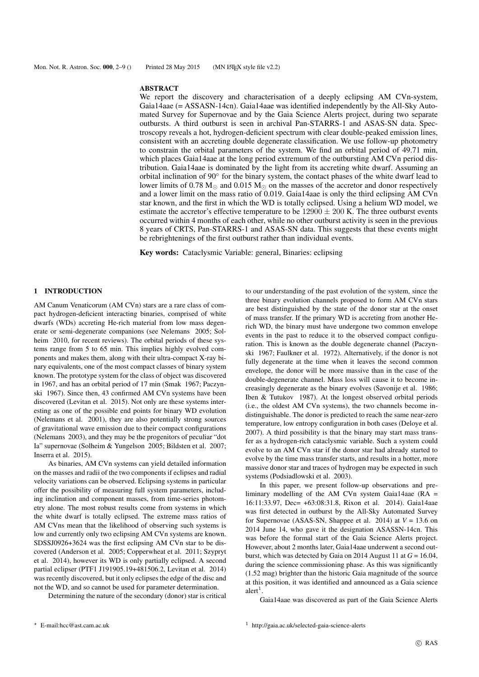#### ABSTRACT

We report the discovery and characterisation of a deeply eclipsing AM CVn-system, Gaia14aae (= ASSASN-14cn). Gaia14aae was identified independently by the All-Sky Automated Survey for Supernovae and by the Gaia Science Alerts project, during two separate outbursts. A third outburst is seen in archival Pan-STARRS-1 and ASAS-SN data. Spectroscopy reveals a hot, hydrogen-deficient spectrum with clear double-peaked emission lines, consistent with an accreting double degenerate classification. We use follow-up photometry to constrain the orbital parameters of the system. We find an orbital period of 49.71 min, which places Gaia14aae at the long period extremum of the outbursting AM CVn period distribution. Gaia14aae is dominated by the light from its accreting white dwarf. Assuming an orbital inclination of 90◦ for the binary system, the contact phases of the white dwarf lead to lower limits of 0.78  $M_{\odot}$  and 0.015  $M_{\odot}$  on the masses of the accretor and donor respectively and a lower limit on the mass ratio of 0.019. Gaia14aae is only the third eclipsing AM CVn star known, and the first in which the WD is totally eclipsed. Using a helium WD model, we estimate the accretor's effective temperature to be  $12900 \pm 200$  K. The three outburst events occurred within 4 months of each other, while no other outburst activity is seen in the previous 8 years of CRTS, Pan-STARRS-1 and ASAS-SN data. This suggests that these events might be rebrightenings of the first outburst rather than individual events.

Key words: Cataclysmic Variable: general, Binaries: eclipsing

#### 1 INTRODUCTION

AM Canum Venaticorum (AM CVn) stars are a rare class of compact hydrogen-deficient interacting binaries, comprised of white dwarfs (WDs) accreting He-rich material from low mass degenerate or semi-degenerate companions (see Nelemans 2005; Solheim 2010, for recent reviews). The orbital periods of these systems range from 5 to 65 min. This implies highly evolved components and makes them, along with their ultra-compact X-ray binary equivalents, one of the most compact classes of binary system known. The prototype system for the class of object was discovered in 1967, and has an orbital period of 17 min (Smak 1967; Paczynski 1967). Since then, 43 confirmed AM CVn systems have been discovered (Levitan et al. 2015). Not only are these systems interesting as one of the possible end points for binary WD evolution (Nelemans et al. 2001), they are also potentially strong sources of gravitational wave emission due to their compact configurations (Nelemans 2003), and they may be the progenitors of peculiar "dot Ia" supernovae (Solheim & Yungelson 2005; Bildsten et al. 2007; Inserra et al. 2015).

As binaries, AM CVn systems can yield detailed information on the masses and radii of the two components if eclipses and radial velocity variations can be observed. Eclipsing systems in particular offer the possibility of measuring full system parameters, including inclination and component masses, from time-series photometry alone. The most robust results come from systems in which the white dwarf is totally eclipsed. The extreme mass ratios of AM CVns mean that the likelihood of observing such systems is low and currently only two eclipsing AM CVn systems are known. SDSSJ0926+3624 was the first eclipsing AM CVn star to be discovered (Anderson et al. 2005; Copperwheat et al. 2011; Szypryt et al. 2014), however its WD is only partially eclipsed. A second partial eclipser (PTF1 J191905.19+481506.2, Levitan et al. 2014) was recently discovered, but it only eclipses the edge of the disc and not the WD, and so cannot be used for parameter determination.

Determining the nature of the secondary (donor) star is critical

to our understanding of the past evolution of the system, since the three binary evolution channels proposed to form AM CVn stars are best distinguished by the state of the donor star at the onset of mass transfer. If the primary WD is accreting from another Herich WD, the binary must have undergone two common envelope events in the past to reduce it to the observed compact configuration. This is known as the double degenerate channel (Paczynski 1967; Faulkner et al. 1972). Alternatively, if the donor is not fully degenerate at the time when it leaves the second common envelope, the donor will be more massive than in the case of the double-degenerate channel. Mass loss will cause it to become increasingly degenerate as the binary evolves (Savonije et al. 1986; Iben & Tutukov 1987). At the longest observed orbital periods (i.e., the oldest AM CVn systems), the two channels become indistinguishable. The donor is predicted to reach the same near-zero temperature, low entropy configuration in both cases (Deloye et al. 2007). A third possibility is that the binary may start mass transfer as a hydrogen-rich cataclysmic variable. Such a system could evolve to an AM CVn star if the donor star had already started to evolve by the time mass transfer starts, and results in a hotter, more massive donor star and traces of hydrogen may be expected in such systems (Podsiadlowski et al. 2003).

In this paper, we present follow-up observations and preliminary modelling of the AM CVn system Gaia14aae ( $RA =$ 16:11:33.97, Dec= +63:08:31.8, Rixon et al. 2014). Gaia14aae was first detected in outburst by the All-Sky Automated Survey for Supernovae (ASAS-SN, Shappee et al. 2014) at  $V = 13.6$  on 2014 June 14, who gave it the designation ASASSN-14cn. This was before the formal start of the Gaia Science Alerts project. However, about 2 months later, Gaia14aae underwent a second outburst, which was detected by Gaia on 2014 August 11 at  $G = 16.04$ , during the science commissioning phase. As this was significantly (1.52 mag) brighter than the historic Gaia magnitude of the source at this position, it was identified and announced as a Gaia science  $\text{alert}^1$ .

Gaia14aae was discovered as part of the Gaia Science Alerts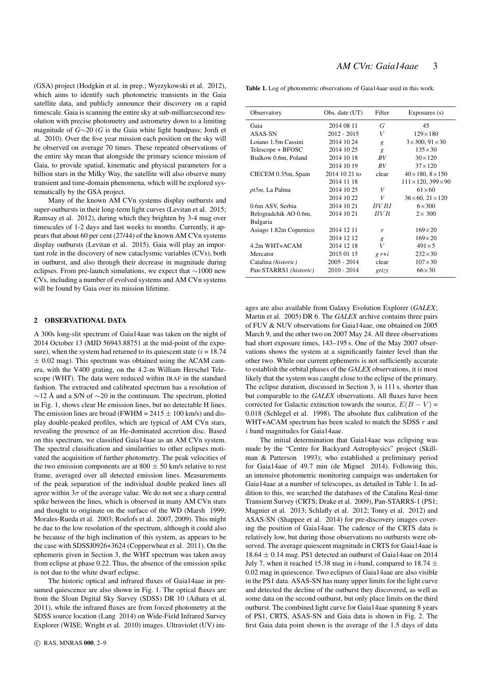(GSA) project (Hodgkin et al. in prep.; Wyrzykowski et al. 2012), which aims to identify such photometric transients in the Gaia satellite data, and publicly announce their discovery on a rapid timescale. Gaia is scanning the entire sky at sub-milliarcsecond resolution with precise photometry and astrometry down to a limiting magnitude of *G*∼20 (*G* is the Gaia white light bandpass; Jordi et al. 2010). Over the five year mission each position on the sky will be observed on average 70 times. These repeated observations of the entire sky mean that alongside the primary science mission of Gaia, to provide spatial, kinematic and physical parameters for a billion stars in the Milky Way, the satellite will also observe many transient and time-domain phenomena, which will be explored systematically by the GSA project.

Many of the known AM CVn systems display outbursts and super-outbursts in their long-term light curves (Levitan et al. 2015; Ramsay et al. 2012), during which they brighten by 3-4 mag over timescales of 1-2 days and last weeks to months. Currently, it appears that about 60 per cent (27/44) of the known AM CVn systems display outbursts (Levitan et al. 2015). Gaia will play an important role in the discovery of new cataclysmic variables (CVs), both in outburst, and also through their decrease in magnitude during eclipses. From pre-launch simulations, we expect that ∼1000 new CVs, including a number of evolved systems and AM CVn systems will be found by Gaia over its mission lifetime.

#### 2 OBSERVATIONAL DATA

A 300s long-slit spectrum of Gaia14aae was taken on the night of 2014 October 13 (MJD 56943.88751 at the mid-point of the exposure), when the system had returned to its quiescent state  $(i = 18.74)$  $\pm$  0.02 mag). This spectrum was obtained using the ACAM camera, with the V400 grating, on the 4.2-m William Herschel Telescope (WHT). The data were reduced within IRAF in the standard fashion. The extracted and calibrated spectrum has a resolution of  $\sim$ 12 Å and a S/N of  $\sim$ 20 in the continuum. The spectrum, plotted in Fig. 1, shows clear He emission lines, but no detectable H lines. The emission lines are broad (FWHM =  $2415 \pm 100$  km/s) and display double-peaked profiles, which are typical of AM CVn stars, revealing the presence of an He-dominated accretion disc. Based on this spectrum, we classified Gaia14aae as an AM CVn system. The spectral classification and similarities to other eclipses motivated the acquisition of further photometry. The peak velocities of the two emission components are at  $800 \pm 50$  km/s relative to rest frame, averaged over all detected emission lines. Measurements of the peak separation of the individual double peaked lines all agree within  $3\sigma$  of the average value. We do not see a sharp central spike between the lines, which is observed in many AM CVn stars and thought to originate on the surface of the WD (Marsh 1999; Morales-Rueda et al. 2003; Roelofs et al. 2007, 2009). This might be due to the low resolution of the spectrum, although it could also be because of the high inclination of this system, as appears to be the case with SDSSJ0926+3624 (Copperwheat et al. 2011). On the ephemeris given in Section 3, the WHT spectrum was taken away from eclipse at phase 0.22. Thus, the absence of the emission spike is not due to the white dwarf eclipse.

The historic optical and infrared fluxes of Gaia14aae in presumed quiescence are also shown in Fig. 1. The optical fluxes are from the Sloan Digital Sky Survey (SDSS) DR 10 (Aihara et al. 2011), while the infrared fluxes are from forced photometry at the SDSS source location (Lang 2014) on Wide-Field Infrared Survey Explorer (WISE; Wright et al. 2010) images. Ultraviolet (UV) imTable 1. Log of photometric observations of Gaia14aae used in this work.

| Observatory                  | Obs. date (UT) | Filter       | Exposures (s)                   |
|------------------------------|----------------|--------------|---------------------------------|
| Gaia                         | 2014 08 11     | G            | 45                              |
| ASAS-SN                      | 2012 - 2015    | V            | $129\times180$                  |
| Loiano 1.5m Cassini          | 2014 10 24     | $\mathbf{g}$ | $3\times300, 91\times30$        |
| Telescope + BFOSC            | 2014 10 25     | g            | $135\times30$                   |
| Bialkow 0.6m, Poland         | 2014 10 18     | BV           | $30\times120$                   |
|                              | 2014 10 19     | BV           | $37\times120$                   |
| CIECEM 0.35m, Spain          | 2014 10 21 to  | clear        | $40\times180, 8\times150$       |
|                              | 2014 11 18     |              | $111 \times 120, 399 \times 90$ |
| pt5m, La Palma               | 2014 10 25     | V            | $61\times 60$                   |
|                              | 2014 10 22     | V            | $36\times 60, 21\times 120$     |
| 0.6m ASV, Serbia             | 2014 10 21     | BVRI         | $6\times300$                    |
| Belogradchik AO 0.6m,        | 2014 10 21     | BVR          | $2\times 300$                   |
| Bulgaria                     |                |              |                                 |
| Asiago 1.82m Copernico       | 2014 12 11     | r            | $169\times20$                   |
|                              | 2014 12 12     | g            | $169\times20$                   |
| 4.2m WHT+ACAM                | 2014 12 18     | V            | $491\times5$                    |
| Mercator                     | 2015 01 15     | $g r+i$      | $232\times30$                   |
| Catalina ( <i>historic</i> ) | $2005 - 2014$  | clear        | $107\times30$                   |
| Pan-STARRS1 (historic)       | $2010 - 2014$  | grizy        | $66\times30$                    |

ages are also available from Galaxy Evolution Explorer (*GALEX*; Martin et al. 2005) DR 6. The *GALEX* archive contains three pairs of FUV & NUV observations for Gaia14aae, one obtained on 2005 March 9, and the other two on 2007 May 24. All three observations had short exposure times,  $143-195$  s. One of the May 2007 observations shows the system at a significantly fainter level than the other two. While our current ephemeris is not sufficiently accurate to establish the orbital phases of the *GALEX* observations, it is most likely that the system was caught close to the eclipse of the primary. The eclipse duration, discussed in Section 3, is 111 s, shorter than but comparable to the *GALEX* observations. All fluxes have been corrected for Galactic extinction towards the source,  $E(B - V) =$ 0.018 (Schlegel et al. 1998). The absolute flux calibration of the WHT+ACAM spectrum has been scaled to match the SDSS  $r$  and i band magnitudes for Gaia14aae.

The initial determination that Gaia14aae was eclipsing was made by the "Centre for Backyard Astrophysics" project (Skillman & Patterson 1993); who established a preliminary period for Gaia14aae of 49.7 min (de Miguel 2014). Following this, an intensive photometric monitoring campaign was undertaken for Gaia14aae at a number of telescopes, as detailed in Table 1. In addition to this, we searched the databases of the Catalina Real-time Transient Survey (CRTS; Drake et al. 2009), Pan-STARRS-1 (PS1; Magnier et al. 2013; Schlafly et al. 2012; Tonry et al. 2012) and ASAS-SN (Shappee et al. 2014) for pre-discovery images covering the position of Gaia14aae. The cadence of the CRTS data is relatively low, but during those observations no outbursts were observed. The average quiescent magnitude in CRTS for Gaia14aae is 18.64 ± 0.14 mag. PS1 detected an outburst of Gaia14aae on 2014 July 7, when it reached 15.38 mag in *i*-band, compared to 18.74  $\pm$ 0.02 mag in quiescence. Two eclipses of Gaia14aae are also visible in the PS1 data. ASAS-SN has many upper limits for the light curve and detected the decline of the outburst they discovered, as well as some data on the second outburst, but only place limits on the third outburst. The combined light curve for Gaia14aae spanning 8 years of PS1, CRTS, ASAS-SN and Gaia data is shown in Fig. 2. The first Gaia data point shown is the average of the 1.5 days of data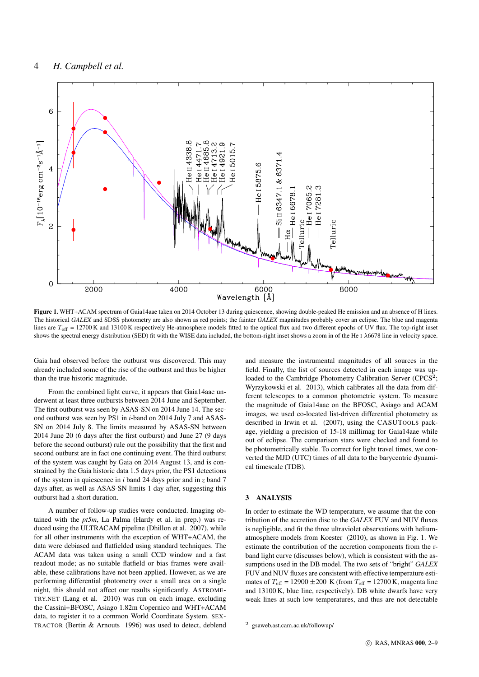

Figure 1. WHT+ACAM spectrum of Gaia14aae taken on 2014 October 13 during quiescence, showing double-peaked He emission and an absence of H lines. The historical *GALEX* and SDSS photometry are also shown as red points; the fainter *GALEX* magnitudes probably cover an eclipse. The blue and magenta lines are  $T_{\text{eff}} = 12700 \text{ K}$  and 13100 K respectively He-atmosphere models fitted to the optical flux and two different epochs of UV flux. The top-right inset shows the spectral energy distribution (SED) fit with the WISE data included, the bottom-right inset shows a zoom in of the He <sup>I</sup> λ6678 line in velocity space.

Gaia had observed before the outburst was discovered. This may already included some of the rise of the outburst and thus be higher than the true historic magnitude.

From the combined light curve, it appears that Gaia14aae underwent at least three outbursts between 2014 June and September. The first outburst was seen by ASAS-SN on 2014 June 14. The second outburst was seen by PS1 in *i*-band on 2014 July 7 and ASAS-SN on 2014 July 8. The limits measured by ASAS-SN between 2014 June 20 (6 days after the first outburst) and June 27 (9 days before the second outburst) rule out the possibility that the first and second outburst are in fact one continuing event. The third outburst of the system was caught by Gaia on 2014 August 13, and is constrained by the Gaia historic data 1.5 days prior, the PS1 detections of the system in quiescence in *i* band 24 days prior and in *z* band 7 days after, as well as ASAS-SN limits 1 day after, suggesting this outburst had a short duration.

A number of follow-up studies were conducted. Imaging obtained with the *pt5m*, La Palma (Hardy et al. in prep.) was reduced using the ULTRACAM pipeline (Dhillon et al. 2007), while for all other instruments with the exception of WHT+ACAM, the data were debiased and flatfielded using standard techniques. The ACAM data was taken using a small CCD window and a fast readout mode; as no suitable flatfield or bias frames were available, these calibrations have not been applied. However, as we are performing differential photometry over a small area on a single night, this should not affect our results significantly. ASTROME-TRY.NET (Lang et al. 2010) was run on each image, excluding the Cassini+BFOSC, Asiago 1.82m Copernico and WHT+ACAM data, to register it to a common World Coordinate System. SEX-TRACTOR (Bertin & Arnouts 1996) was used to detect, deblend and measure the instrumental magnitudes of all sources in the field. Finally, the list of sources detected in each image was uploaded to the Cambridge Photometry Calibration Server (CPCS<sup>2</sup>; Wyrzykowski et al. 2013), which calibrates all the data from different telescopes to a common photometric system. To measure the magnitude of Gaia14aae on the BFOSC, Asiago and ACAM images, we used co-located list-driven differential photometry as described in Irwin et al. (2007), using the CASUTOOLS package, yielding a precision of 15-18 millimag for Gaia14aae while out of eclipse. The comparison stars were checked and found to be photometrically stable. To correct for light travel times, we converted the MJD (UTC) times of all data to the barycentric dynamical timescale (TDB).

#### 3 ANALYSIS

In order to estimate the WD temperature, we assume that the contribution of the accretion disc to the *GALEX* FUV and NUV fluxes is negligible, and fit the three ultraviolet observations with heliumatmosphere models from Koester (2010), as shown in Fig. 1. We estimate the contribution of the accretion components from the rband light curve (discusses below), which is consistent with the assumptions used in the DB model. The two sets of "bright" *GALEX* FUV and NUV fluxes are consistent with effective temperature estimates of  $T_{\text{eff}}$  = 12900  $\pm 200$  K (from  $T_{\text{eff}}$  = 12700 K, magenta line and 13100 K, blue line, respectively). DB white dwarfs have very weak lines at such low temperatures, and thus are not detectable

<sup>2</sup> gsaweb.ast.cam.ac.uk/followup/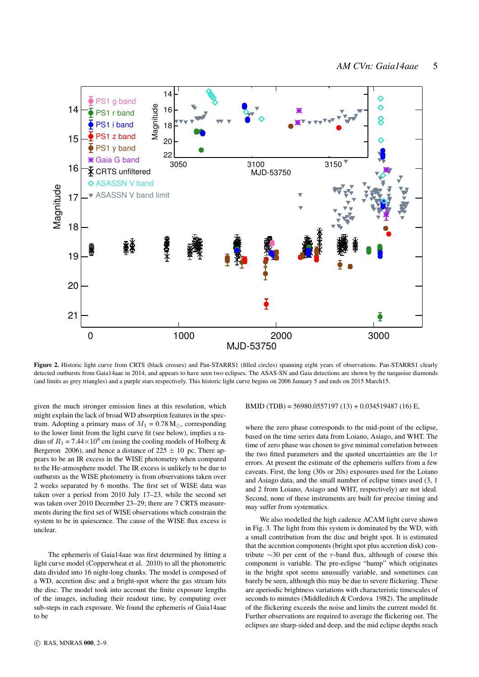

Figure 2. Historic light curve from CRTS (black crosses) and Pan-STARRS1 (filled circles) spanning eight years of observations. Pan-STARRS1 clearly detected outbursts from Gaia14aae in 2014, and appears to have seen two eclipses. The ASAS-SN and Gaia detections are shown by the turquoise diamonds (and limits as grey triangles) and a purple stars respectively. This historic light curve begins on 2006 January 5 and ends on 2015 March15.

given the much stronger emission lines at this resolution, which might explain the lack of broad WD absorption features in the spectrum. Adopting a primary mass of  $M_1 = 0.78$  M<sub>☉</sub>, corresponding to the lower limit from the light curve fit (see below), implies a radius of  $R_1 = 7.44 \times 10^8$  cm (using the cooling models of Holberg & Bergeron 2006), and hence a distance of  $225 \pm 10$  pc. There appears to be an IR excess in the WISE photometry when compared to the He-atmosphere model. The IR excess is unlikely to be due to outbursts as the WISE photometry is from observations taken over 2 weeks separated by 6 months. The first set of WISE data was taken over a period from 2010 July 17–23, while the second set was taken over 2010 December 23–29; there are 7 CRTS measurements during the first set of WISE observations which constrain the system to be in quiescence. The cause of the WISE flux excess is unclear.

The ephemeris of Gaia14aae was first determined by fitting a light curve model (Copperwheat et al. 2010) to all the photometric data divided into 16 night-long chunks. The model is composed of a WD, accretion disc and a bright-spot where the gas stream hits the disc. The model took into account the finite exposure lengths of the images, including their readout time, by computing over sub-steps in each exposure. We found the ephemeris of Gaia14aae to be

BMJD (TDB) = 56980.0557197 (13) + 0.034519487 (16) E,

where the zero phase corresponds to the mid-point of the eclipse, based on the time series data from Loiano, Asiago, and WHT. The time of zero phase was chosen to give minimal correlation between the two fitted parameters and the quoted uncertainties are the  $1\sigma$ errors. At present the estimate of the ephemeris suffers from a few caveats. First, the long (30s or 20s) exposures used for the Loiano and Asiago data, and the small number of eclipse times used (3, 1 and 2 from Loiano, Asiago and WHT, respectively) are not ideal. Second, none of these instruments are built for precise timing and may suffer from systematics.

We also modelled the high cadence ACAM light curve shown in Fig. 3. The light from this system is dominated by the WD, with a small contribution from the disc and bright spot. It is estimated that the accretion components (bright spot plus accretion disk) contribute ∼30 per cent of the r-band flux, although of course this component is variable. The pre-eclipse "hump" which originates in the bright spot seems unusually variable, and sometimes can barely be seen, although this may be due to severe flickering. These are aperiodic brightness variations with characteristic timescales of seconds to minutes (Middleditch & Cordova 1982). The amplitude of the flickering exceeds the noise and limits the current model fit. Further observations are required to average the flickering out. The eclipses are sharp-sided and deep, and the mid eclipse depths reach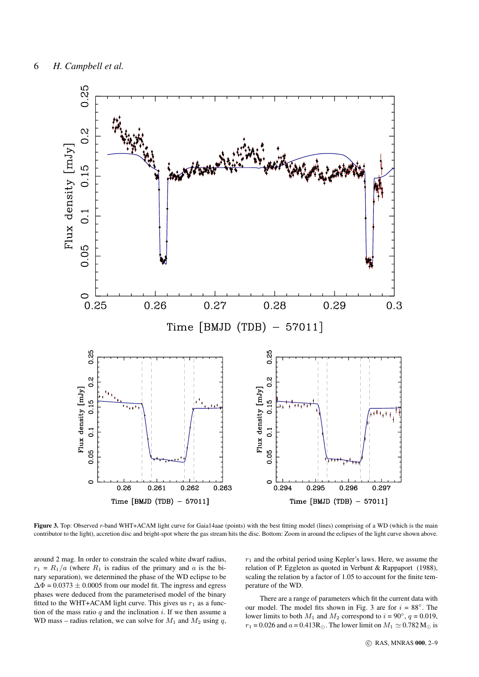![](_page_6_Figure_1.jpeg)

Figure 3. Top: Observed *r*-band WHT+ACAM light curve for Gaia14aae (points) with the best fitting model (lines) comprising of a WD (which is the main contributor to the light), accretion disc and bright-spot where the gas stream hits the disc. Bottom: Zoom in around the eclipses of the light curve shown above.

around 2 mag. In order to constrain the scaled white dwarf radius,  $r_1 = R_1/a$  (where  $R_1$  is radius of the primary and a is the binary separation), we determined the phase of the WD eclipse to be  $\Delta\Phi$  = 0.0373  $\pm$  0.0005 from our model fit. The ingress and egress phases were deduced from the parameterised model of the binary fitted to the WHT+ACAM light curve. This gives us  $r_1$  as a function of the mass ratio  $q$  and the inclination  $i$ . If we then assume a WD mass – radius relation, we can solve for  $M_1$  and  $M_2$  using q,

 $r_1$  and the orbital period using Kepler's laws. Here, we assume the relation of P. Eggleton as quoted in Verbunt & Rappaport (1988), scaling the relation by a factor of 1.05 to account for the finite temperature of the WD.

There are a range of parameters which fit the current data with our model. The model fits shown in Fig. 3 are for  $i = 88^\circ$ . The lower limits to both  $M_1$  and  $M_2$  correspond to  $i = 90^\circ$ ,  $q = 0.019$ ,  $r_1 = 0.026$  and  $a = 0.413R_\odot$ . The lower limit on  $M_1 \simeq 0.782 M_\odot$  is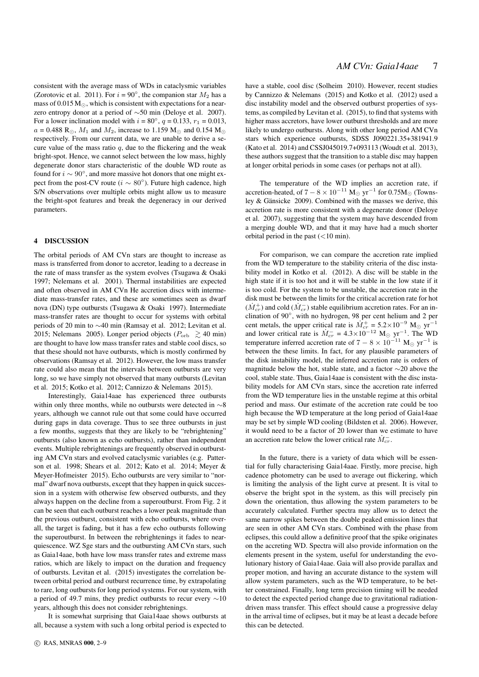consistent with the average mass of WDs in cataclysmic variables (Zorotovic et al. 2011). For  $i = 90^\circ$ , the companion star  $M_2$  has a mass of  $0.015 M_{\odot}$ , which is consistent with expectations for a nearzero entropy donor at a period of ∼50 min (Deloye et al. 2007). For a lower inclination model with  $i = 80^\circ$ ,  $q = 0.133$ ,  $r_1 = 0.013$ ,  $a = 0.488$  R<sub>☉</sub>,  $M_1$  and  $M_2$ , increase to 1.159 M<sub>☉</sub> and 0.154 M<sub>☉</sub> respectively. From our current data, we are unable to derive a secure value of the mass ratio  $q$ , due to the flickering and the weak bright-spot. Hence, we cannot select between the low mass, highly degenerate donor stars characteristic of the double WD route as found for  $i \sim 90^\circ$ , and more massive hot donors that one might expect from the post-CV route ( $i \sim 80^{\circ}$ ). Future high cadence, high S/N observations over multiple orbits might allow us to measure the bright-spot features and break the degeneracy in our derived parameters.

#### 4 DISCUSSION

The orbital periods of AM CVn stars are thought to increase as mass is transferred from donor to accretor, leading to a decrease in the rate of mass transfer as the system evolves (Tsugawa & Osaki 1997; Nelemans et al. 2001). Thermal instabilities are expected and often observed in AM CVn He accretion discs with intermediate mass-transfer rates, and these are sometimes seen as dwarf nova (DN) type outbursts (Tsugawa & Osaki 1997). Intermediate mass-transfer rates are thought to occur for systems with orbital periods of 20 min to ∼40 min (Ramsay et al. 2012; Levitan et al. 2015; Nelemans 2005). Longer period objects ( $P_{\text{orb}} \ge 40$  min) are thought to have low mass transfer rates and stable cool discs, so that these should not have outbursts, which is mostly confirmed by observations (Ramsay et al. 2012). However, the low mass transfer rate could also mean that the intervals between outbursts are very long, so we have simply not observed that many outbursts (Levitan et al. 2015; Kotko et al. 2012; Cannizzo & Nelemans 2015).

Interestingly, Gaia14aae has experienced three outbursts within only three months, while no outbursts were detected in ∼8 years, although we cannot rule out that some could have occurred during gaps in data coverage. Thus to see three outbursts in just a few months, suggests that they are likely to be "rebrightening" outbursts (also known as echo outbursts), rather than independent events. Multiple rebrightenings are frequently observed in outbursting AM CVn stars and evolved cataclysmic variables (e.g. Patterson et al. 1998; Shears et al. 2012; Kato et al. 2014; Meyer & Meyer-Hofmeister 2015). Echo outbursts are very similar to "normal" dwarf nova outbursts, except that they happen in quick succession in a system with otherwise few observed outbursts, and they always happen on the decline from a superoutburst. From Fig. 2 it can be seen that each outburst reaches a lower peak magnitude than the previous outburst, consistent with echo outbursts, where overall, the target is fading, but it has a few echo outbursts following the superoutburst. In between the rebrightenings it fades to nearquiescence. WZ Sge stars and the outbursting AM CVn stars, such as Gaia14aae, both have low mass transfer rates and extreme mass ratios, which are likely to impact on the duration and frequency of outbursts. Levitan et al. (2015) investigates the correlation between orbital period and outburst recurrence time, by extrapolating to rare, long outbursts for long period systems. For our system, with a period of 49.7 mins, they predict outbursts to recur every ∼10 years, although this does not consider rebrightenings.

It is somewhat surprising that Gaia14aae shows outbursts at all, because a system with such a long orbital period is expected to have a stable, cool disc (Solheim 2010). However, recent studies by Cannizzo & Nelemans (2015) and Kotko et al. (2012) used a disc instability model and the observed outburst properties of systems, as compiled by Levitan et al. (2015), to find that systems with higher mass accretors, have lower outburst thresholds and are more likely to undergo outbursts. Along with other long period AM CVn stars which experience outbursts, SDSS J090221.35+381941.9 (Kato et al. 2014) and CSSJ045019.7+093113 (Woudt et al. 2013), these authors suggest that the transition to a stable disc may happen at longer orbital periods in some cases (or perhaps not at all).

The temperature of the WD implies an accretion rate, if accretion-heated, of  $7 - 8 \times 10^{-11}$  M<sub>☉</sub> yr<sup>-1</sup> for 0.75M<sub>☉</sub> (Townsley  $&$  Gänsicke 2009). Combined with the masses we derive, this accretion rate is more consistent with a degenerate donor (Deloye et al. 2007), suggesting that the system may have descended from a merging double WD, and that it may have had a much shorter orbital period in the past  $(<10$  min).

For comparison, we can compare the accretion rate implied from the WD temperature to the stability criteria of the disc instability model in Kotko et al. (2012). A disc will be stable in the high state if it is too hot and it will be stable in the low state if it is too cold. For the system to be unstable, the accretion rate in the disk must be between the limits for the critical accretion rate for hot  $(M_{cr}^+)$  and cold  $(M_{cr}^-)$  stable equilibrium accretion rates. For an inclination of 90◦ , with no hydrogen, 98 per cent helium and 2 per cent metals, the upper critical rate is  $\dot{M}_{cr}^+ = 5.2 \times 10^{-9}$  M<sub>☉</sub> yr<sup>-1</sup> and lower critical rate is  $\dot{M}_{cr}^-$  = 4.3×10<sup>-12</sup> M<sub>☉</sub> yr<sup>-1</sup>. The WD temperature inferred accretion rate of  $7 - 8 \times 10^{-11}$  M<sub>☉</sub> yr<sup>-1</sup> is between the these limits. In fact, for any plausible parameters of the disk instability model, the inferred accretion rate is orders of magnitude below the hot, stable state, and a factor ∼20 above the cool, stable state. Thus, Gaia14aae is consistent with the disc instability models for AM CVn stars, since the accretion rate inferred from the WD temperature lies in the unstable regime at this orbital period and mass. Our estimate of the accretion rate could be too high because the WD temperature at the long period of Gaia14aae may be set by simple WD cooling (Bildsten et al. 2006). However, it would need to be a factor of 20 lower than we estimate to have an accretion rate below the lower critical rate  $\dot{M}_{cr}^-$ .

In the future, there is a variety of data which will be essential for fully characterising Gaia14aae. Firstly, more precise, high cadence photometry can be used to average out flickering, which is limiting the analysis of the light curve at present. It is vital to observe the bright spot in the system, as this will precisely pin down the orientation, thus allowing the system parameters to be accurately calculated. Further spectra may allow us to detect the same narrow spikes between the double peaked emission lines that are seen in other AM CVn stars. Combined with the phase from eclipses, this could allow a definitive proof that the spike originates on the accreting WD. Spectra will also provide information on the elements present in the system, useful for understanding the evolutionary history of Gaia14aae. Gaia will also provide parallax and proper motion, and having an accurate distance to the system will allow system parameters, such as the WD temperature, to be better constrained. Finally, long term precision timing will be needed to detect the expected period change due to gravitational radiationdriven mass transfer. This effect should cause a progressive delay in the arrival time of eclipses, but it may be at least a decade before this can be detected.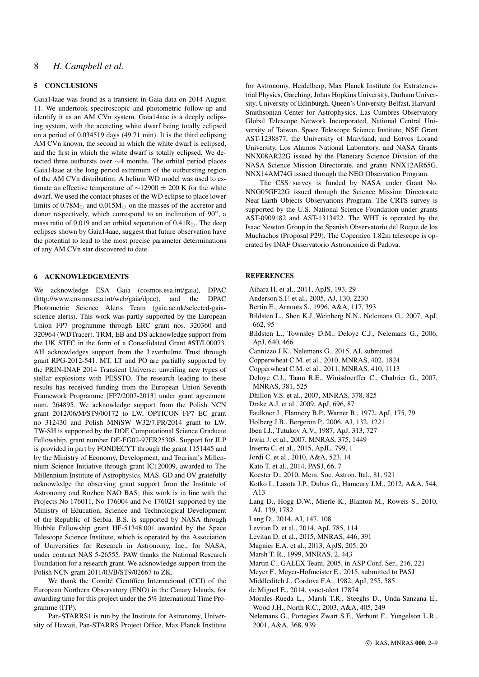#### 8 *H. Campbell et al.*

#### 5 CONCLUSIONS

Gaia14aae was found as a transient in Gaia data on 2014 August 11. We undertook spectroscopic and photometric follow-up and identify it as an AM CVn system. Gaia14aae is a deeply eclipsing system, with the accreting white dwarf being totally eclipsed on a period of 0.034519 days (49.71 min). It is the third eclipsing AM CVn known, the second in which the white dwarf is eclipsed, and the first in which the white dwarf is totally eclipsed. We detected three outbursts over ∼4 months. The orbital period places Gaia14aae at the long period extremum of the outbursting region of the AM CVn distribution. A helium WD model was used to estimate an effective temperature of  $\sim$ 12900  $\pm$  200 K for the white dwarf. We used the contact phases of the WD eclipse to place lower limits of  $0.78M_{\odot}$  and  $0.015M_{\odot}$  on the masses of the accretor and donor respectively, which correspond to an inclination of 90°, a mass ratio of 0.019 and an orbital separation of  $0.41R_{\odot}$ . The deep eclipses shown by Gaia14aae, suggest that future observation have the potential to lead to the most precise parameter determinations of any AM CVn star discovered to date.

#### 6 ACKNOWLEDGEMENTS

We acknowledge ESA Gaia (cosmos.esa.int/gaia), DPAC (http://www.cosmos.esa.int/web/gaia/dpac), and the DPAC Photometric Science Alerts Team (gaia.ac.uk/selected-gaiascience-alerts). This work was partly supported by the European Union FP7 programme through ERC grant nos. 320360 and 320964 (WDTracer). TRM, EB and DS acknowledge support from the UK STFC in the form of a Consolidated Grant #ST/L00073. AH acknowledges support from the Leverhulme Trust through grant RPG-2012-541. MT, LT and PO are partially supported by the PRIN-INAF 2014 Transient Universe: unveiling new types of stellar explosions with PESSTO. The research leading to these results has received funding from the European Union Seventh Framework Programme [FP7/2007-2013] under grant agreement num. 264895. We acknowledge support from the Polish NCN grant 2012/06/M/ST9/00172 to LW, OPTICON FP7 EC grant no 312430 and Polish MNiSW W32/7.PR/2014 grant to LW. TW-SH is supported by the DOE Computational Science Graduate Fellowship, grant number DE-FG02-97ER25308. Support for JLP is provided in part by FONDECYT through the grant 1151445 and by the Ministry of Economy, Development, and Tourism's Millennium Science Initiative through grant IC120009, awarded to The Millennium Institute of Astrophysics, MAS. GD and OV gratefully acknowledge the observing grant support from the Institute of Astronomy and Rozhen NAO BAS; this work is in line with the Projects No 176011, No 176004 and No 176021 supported by the Ministry of Education, Science and Technological Development of the Republic of Serbia. B.S. is supported by NASA through Hubble Fellowship grant HF-51348.001 awarded by the Space Telescope Science Institute, which is operated by the Association of Universities for Research in Astronomy, Inc., for NASA, under contract NAS 5-26555. PAW thanks the National Research Foundation for a research grant. We acknowledge support from the Polish NCN grant 2011/03/B/ST9/02667 to ZK.

We thank the Comité Científico Internacional (CCI) of the European Northern Observatory (ENO) in the Canary Islands, for awarding time for this project under the 5% International Time Programme (ITP).

Pan-STARRS1 is run by the Institute for Astronomy, University of Hawaii, Pan-STARRS Project Office, Max Planck Institute

for Astronomy, Heidelberg, Max Planck Institute for Extraterrestrial Physics, Garching, Johns Hopkins University, Durham University, University of Edinburgh, Queen's University Belfast, Harvard-Smithsonian Center for Astrophysics, Las Cumbres Observatory Global Telescope Network Incorporated, National Central University of Taiwan, Space Telescope Science Institute, NSF Grant AST-1238877, the University of Maryland, and Eotvos Lorand University, Los Alamos National Laboratory, and NASA Grants NNX08AR22G issued by the Planetary Science Division of the NASA Science Mission Directorate, and grants NNX12AR65G, NNX14AM74G issued through the NEO Observation Program.

The CSS survey is funded by NASA under Grant No. NNG05GF22G issued through the Science Mission Directorate Near-Earth Objects Observations Program. The CRTS survey is supported by the U.S. National Science Foundation under grants AST-0909182 and AST-1313422. The WHT is operated by the Isaac Newton Group in the Spanish Observatorio del Roque de los Muchachos (Proposal P29). The Copernico 1.82m telescope is operated by INAF Osservatorio Astronomico di Padova.

#### **REFERENCES**

- Aihara H. et al., 2011, ApJS, 193, 29
- Anderson S.F. et al., 2005, AJ, 130, 2230
- Bertin E., Arnouts S., 1996, A&A, 117, 393
- Bildsten L., Shen K.J.,Weinberg N.N., Nelemans G., 2007, ApJ, 662, 95
- Bildsten L., Townsley D.M., Deloye C.J., Nelemans G., 2006, ApJ, 640, 466
- Cannizzo J.K., Nelemans G., 2015, AJ, submitted
- Copperwheat C.M. et al., 2010, MNRAS, 402, 1824
- Copperwheat C.M. et al., 2011, MNRAS, 410, 1113
- Deloye C.J., Taam R.E., Winisdoerffer C., Chabrier G., 2007, MNRAS, 381, 525
- Dhillon V.S. et al., 2007, MNRAS, 378, 825
- Drake A.J. et al., 2009, ApJ, 696, 87
- Faulkner J., Flannery B.P., Warner B., 1972, ApJ, 175, 79
- Holberg J.B., Bergeron P., 2006, AJ, 132, 1221
- Iben I.J., Tutukov A.V., 1987, ApJ, 313, 727
- Irwin J. et al., 2007, MNRAS, 375, 1449
- Inserra C. et al., 2015, ApJL, 799, 1
- Jordi C. et al., 2010, A&A, 523, 14
- Kato T. et al., 2014, PASJ, 66, 7
- Koester D., 2010, Mem. Soc. Astron. Ital., 81, 921
- Kotko I., Lasota J.P., Dubus G., Hameury J.M., 2012, A&A, 544, A13
- Lang D., Hogg D.W., Mierle K., Blanton M., Roweis S., 2010, AJ, 139, 1782
- Lang D., 2014, AJ, 147, 108
- Levitan D. et al., 2014, ApJ, 785, 114
- Levitan D. et al., 2015, MNRAS, 446, 391
- Magnier E.A. et al., 2013, ApJS, 205, 20
- Marsh T. R., 1999, MNRAS, 2, 443
- Martin C., GALEX Team, 2005, in ASP Conf. Ser., 216, 221
- Meyer F., Meyer-Hofmeister E., 2015, submitted to PASJ
- Middleditch J., Cordova F.A., 1982, ApJ, 255, 585
- de Miguel E., 2014, vsnet-alert 17874
- Morales-Rueda L., Marsh T.R., Steeghs D., Unda-Sanzana E., Wood J.H., North R.C., 2003, A&A, 405, 249
- Nelemans G., Portegies Zwart S.F., Verbunt F., Yungelson L.R., 2001, A&A, 368, 939